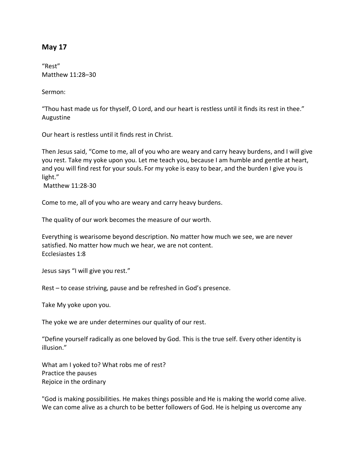## **May 17**

"Rest" Matthew 11:28–30

Sermon:

"Thou hast made us for thyself, O Lord, and our heart is restless until it finds its rest in thee." Augustine

Our heart is restless until it finds rest in Christ.

Then Jesus said, "Come to me, all of you who are weary and carry heavy burdens, and I will give you rest. Take my yoke upon you. Let me teach you, because I am humble and gentle at heart, and you will find rest for your souls. For my yoke is easy to bear, and the burden I give you is light."

Matthew 11:28-30

Come to me, all of you who are weary and carry heavy burdens.

The quality of our work becomes the measure of our worth.

Everything is wearisome beyond description. No matter how much we see, we are never satisfied. No matter how much we hear, we are not content. Ecclesiastes 1:8

Jesus says "I will give you rest."

Rest – to cease striving, pause and be refreshed in God's presence.

Take My yoke upon you.

The yoke we are under determines our quality of our rest.

"Define yourself radically as one beloved by God. This is the true self. Every other identity is illusion."

What am I yoked to? What robs me of rest? Practice the pauses Rejoice in the ordinary

"God is making possibilities. He makes things possible and He is making the world come alive. We can come alive as a church to be better followers of God. He is helping us overcome any